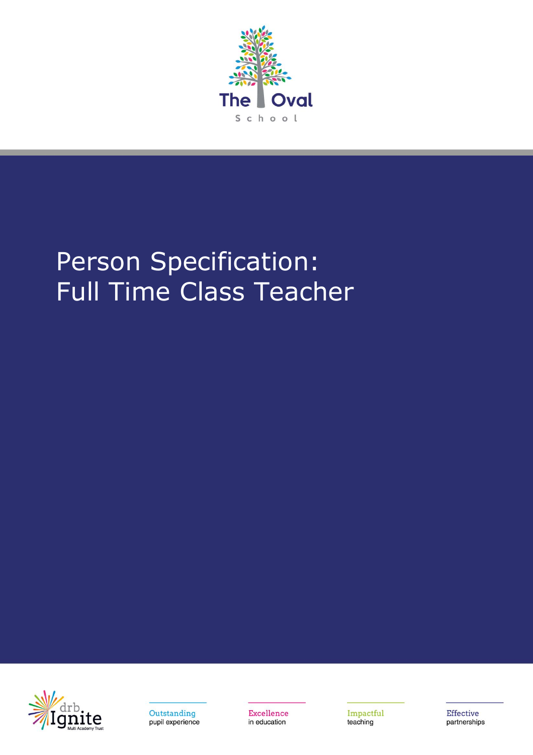

## Person Specification: Full Time Class Teacher





Excellence in education

Impactful teaching

Effective partnerships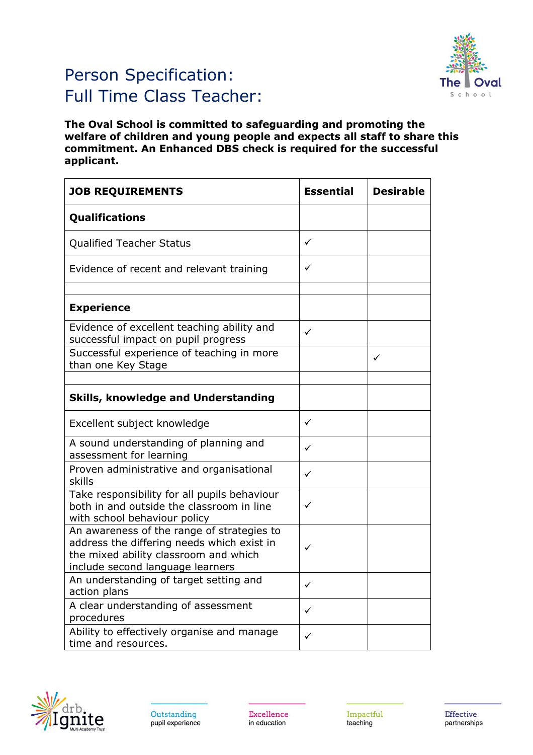

## Person Specification: Full Time Class Teacher:

**The Oval School is committed to safeguarding and promoting the welfare of children and young people and expects all staff to share this commitment. An Enhanced DBS check is required for the successful applicant.**

| <b>JOB REQUIREMENTS</b>                                                                                                                                               | <b>Essential</b> | <b>Desirable</b> |
|-----------------------------------------------------------------------------------------------------------------------------------------------------------------------|------------------|------------------|
| <b>Qualifications</b>                                                                                                                                                 |                  |                  |
| <b>Qualified Teacher Status</b>                                                                                                                                       | ✓                |                  |
| Evidence of recent and relevant training                                                                                                                              | ✓                |                  |
|                                                                                                                                                                       |                  |                  |
| <b>Experience</b>                                                                                                                                                     |                  |                  |
| Evidence of excellent teaching ability and<br>successful impact on pupil progress                                                                                     | ✓                |                  |
| Successful experience of teaching in more<br>than one Key Stage                                                                                                       |                  | ✓                |
|                                                                                                                                                                       |                  |                  |
| <b>Skills, knowledge and Understanding</b>                                                                                                                            |                  |                  |
| Excellent subject knowledge                                                                                                                                           | ✓                |                  |
| A sound understanding of planning and<br>assessment for learning                                                                                                      | $\checkmark$     |                  |
| Proven administrative and organisational<br>skills                                                                                                                    | ✓                |                  |
| Take responsibility for all pupils behaviour<br>both in and outside the classroom in line<br>with school behaviour policy                                             | ✓                |                  |
| An awareness of the range of strategies to<br>address the differing needs which exist in<br>the mixed ability classroom and which<br>include second language learners | ✓                |                  |
| An understanding of target setting and<br>action plans                                                                                                                | ✓                |                  |
| A clear understanding of assessment<br>procedures                                                                                                                     | ✓                |                  |
| Ability to effectively organise and manage<br>time and resources.                                                                                                     | ✓                |                  |



Excellence in education